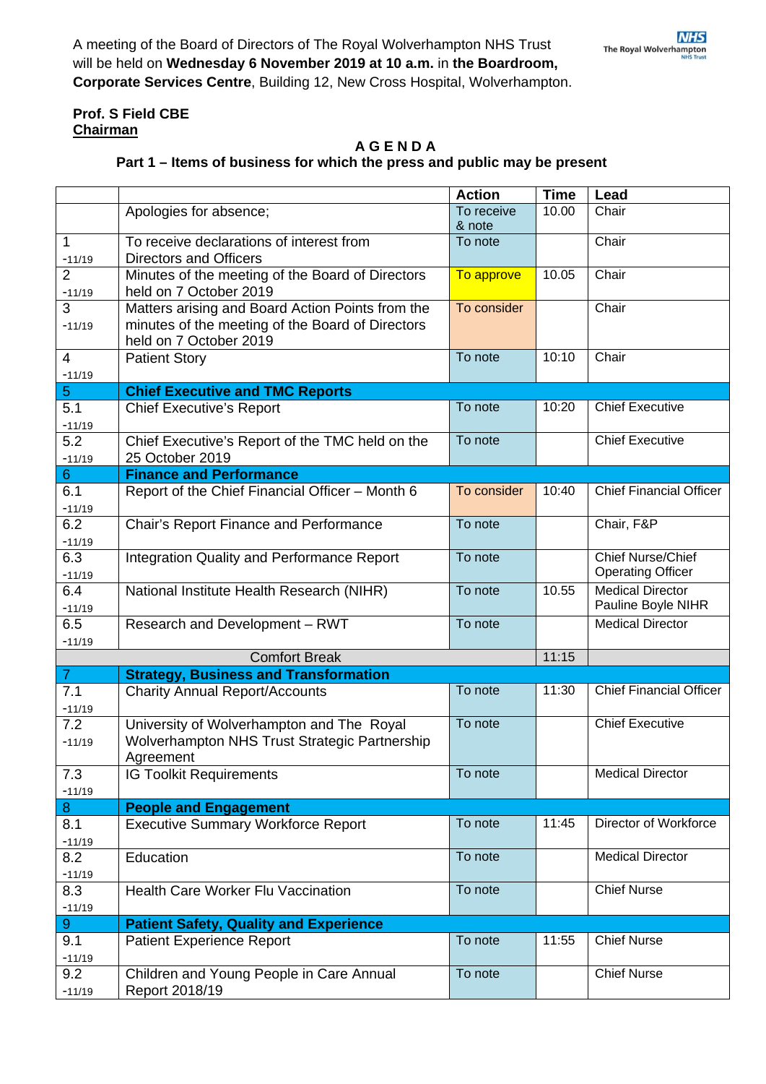## **Prof. S Field CBE Chairman**

## **A G E N D A**

## **Part 1 – Items of business for which the press and public may be present**

|                            |                                                                                                                                | <b>Action</b>        | <b>Time</b> | Lead                                                 |
|----------------------------|--------------------------------------------------------------------------------------------------------------------------------|----------------------|-------------|------------------------------------------------------|
|                            | Apologies for absence;                                                                                                         | To receive<br>& note | 10.00       | Chair                                                |
| 1<br>$-11/19$              | To receive declarations of interest from<br><b>Directors and Officers</b>                                                      | To note              |             | Chair                                                |
| $\overline{2}$<br>$-11/19$ | Minutes of the meeting of the Board of Directors<br>held on 7 October 2019                                                     | To approve           | 10.05       | Chair                                                |
| 3<br>$-11/19$              | Matters arising and Board Action Points from the<br>minutes of the meeting of the Board of Directors<br>held on 7 October 2019 | To consider          |             | Chair                                                |
| 4                          | <b>Patient Story</b>                                                                                                           | To note              | 10:10       | Chair                                                |
| $-11/19$                   |                                                                                                                                |                      |             |                                                      |
| 5                          | <b>Chief Executive and TMC Reports</b>                                                                                         |                      |             |                                                      |
| 5.1<br>$-11/19$            | <b>Chief Executive's Report</b>                                                                                                | To note              | 10:20       | <b>Chief Executive</b>                               |
| 5.2<br>$-11/19$            | To note<br>Chief Executive's Report of the TMC held on the<br>25 October 2019                                                  |                      |             | <b>Chief Executive</b>                               |
| 6                          | <b>Finance and Performance</b>                                                                                                 |                      |             |                                                      |
| 6.1<br>$-11/19$            | Report of the Chief Financial Officer - Month 6                                                                                | To consider          | 10:40       | <b>Chief Financial Officer</b>                       |
| 6.2<br>$-11/19$            | Chair's Report Finance and Performance                                                                                         | To note              |             | Chair, F&P                                           |
| 6.3<br>$-11/19$            | Integration Quality and Performance Report                                                                                     | To note              |             | <b>Chief Nurse/Chief</b><br><b>Operating Officer</b> |
| 6.4<br>$-11/19$            | National Institute Health Research (NIHR)                                                                                      | To note              | 10.55       | <b>Medical Director</b><br>Pauline Boyle NIHR        |
| 6.5<br>$-11/19$            | Research and Development - RWT                                                                                                 | To note              |             | <b>Medical Director</b>                              |
|                            | <b>Comfort Break</b>                                                                                                           |                      | 11:15       |                                                      |
| $\mathbf{7}$               | <b>Strategy, Business and Transformation</b>                                                                                   |                      |             |                                                      |
| 7.1<br>$-11/19$            | <b>Charity Annual Report/Accounts</b>                                                                                          | To note              | 11:30       | <b>Chief Financial Officer</b>                       |
| 7.2<br>$-11/19$            | University of Wolverhampton and The Royal<br>Wolverhampton NHS Trust Strategic Partnership<br>Agreement                        | To note              |             | <b>Chief Executive</b>                               |
| 7.3<br>$-11/19$            | <b>IG Toolkit Requirements</b>                                                                                                 | To note              |             | <b>Medical Director</b>                              |
| 8                          | <b>People and Engagement</b>                                                                                                   |                      |             |                                                      |
| 8.1<br>$-11/19$            | <b>Executive Summary Workforce Report</b>                                                                                      | To note              | 11:45       | Director of Workforce                                |
| 8.2<br>$-11/19$            | Education                                                                                                                      | To note              |             | <b>Medical Director</b>                              |
| 8.3<br>$-11/19$            | <b>Health Care Worker Flu Vaccination</b>                                                                                      | To note              |             | <b>Chief Nurse</b>                                   |
| $\boldsymbol{9}$           | <b>Patient Safety, Quality and Experience</b>                                                                                  |                      |             |                                                      |
| 9.1<br>$-11/19$            | <b>Patient Experience Report</b>                                                                                               | To note              | 11:55       | <b>Chief Nurse</b>                                   |
| 9.2<br>$-11/19$            | Children and Young People in Care Annual<br>Report 2018/19                                                                     | To note              |             | <b>Chief Nurse</b>                                   |